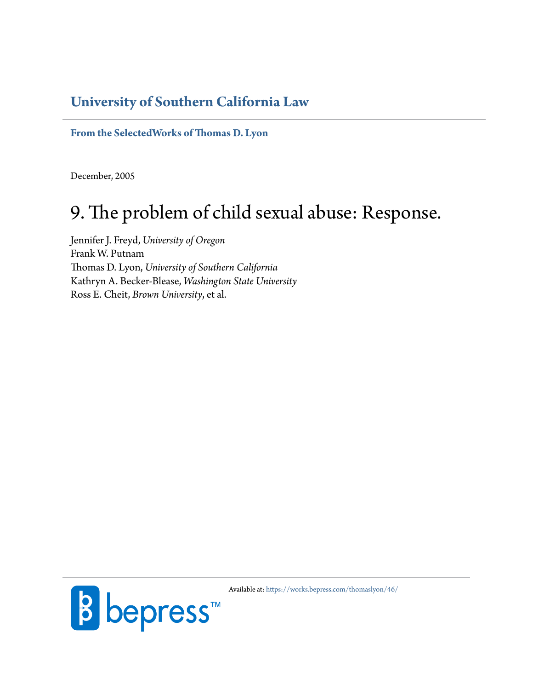## **[University of Southern California Law](http://gould.usc.edu/)**

**[From the SelectedWorks of Thomas D. Lyon](https://works.bepress.com/thomaslyon/)**

December, 2005

## 9. The problem of child sexual abuse: Response.

Jennifer J. Freyd, *University of Oregon* Frank W. Putnam Thomas D. Lyon, *University of Southern California* Kathryn A. Becker-Blease, *Washington State University* Ross E. Cheit, *Brown University*, et al.



Available at: <https://works.bepress.com/thomaslyon/46/>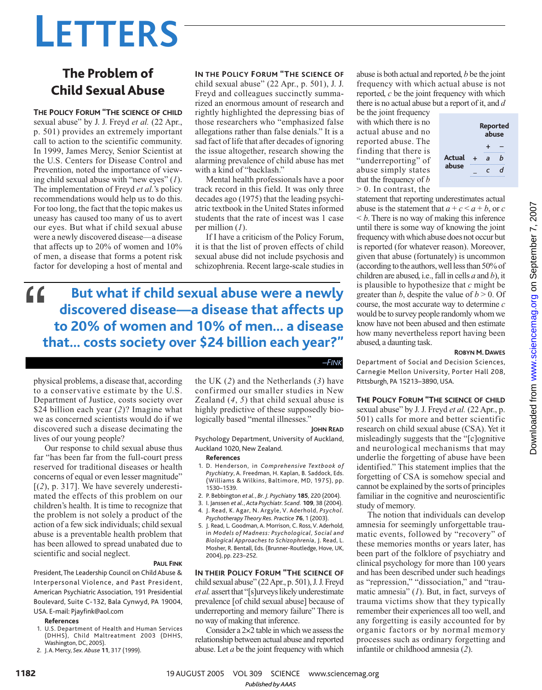# **LETTERS**

## The Problem of Child Sexual Abuse

**THE POLICY FORUM "THE SCIENCE OF CHILD** sexual abuse" by J. J. Freyd *et al.* (22 Apr., p. 501) provides an extremely important call to action to the scientific community. In 1999, James Mercy, Senior Scientist at the U.S. Centers for Disease Control and Prevention, noted the importance of viewing child sexual abuse with "new eyes" (*1*). The implementation of Freyd *et al.*'s policy recommendations would help us to do this. For too long, the fact that the topic makes us uneasy has caused too many of us to avert our eyes. But what if child sexual abuse were a newly discovered disease—a disease that affects up to 20% of women and 10% of men, a disease that forms a potent risk factor for developing a host of mental and

**IN THE POLICY FORUM "THE SCIENCE OF**

child sexual abuse" (22 Apr., p. 501), J. J. Freyd and colleagues succinctly summarized an enormous amount of research and rightly highlighted the depressing bias of those researchers who "emphasized false allegations rather than false denials." It is a sad fact of life that after decades of ignoring the issue altogether, research showing the alarming prevalence of child abuse has met with a kind of "backlash."

Mental health professionals have a poor track record in this field. It was only three decades ago (1975) that the leading psychiatric textbook in the United States informed students that the rate of incest was 1 case per million (*1*).

If I have a criticism of the Policy Forum, it is that the list of proven effects of child sexual abuse did not include psychosis and schizophrenia. Recent large-scale studies in

**But what if child sexual abuse were a newly discovered disease—a disease that affects up to 20% of women and 10% of men… a disease that… costs society over \$24 billion each year?"**  $\epsilon$ 

physical problems, a disease that, according to a conservative estimate by the U.S. Department of Justice, costs society over \$24 billion each year (*2*)? Imagine what we as concerned scientists would do if we discovered such a disease decimating the lives of our young people?

Our response to child sexual abuse thus far "has been far from the full-court press reserved for traditional diseases or health concerns of equal or even lesser magnitude" [(*2*), p. 317]. We have severely underestimated the effects of this problem on our children's health. It is time to recognize that the problem is not solely a product of the action of a few sick individuals; child sexual abuse is a preventable health problem that has been allowed to spread unabated due to scientific and social neglect.

#### **PAUL FINK**

President,The Leadership Council on Child Abuse & Interpersonal Violence, and Past President, American Psychiatric Association, 191 Presidential Boulevard, Suite C-132, Bala Cynwyd, PA 19004, USA. E-mail: Pjayfink@aol.com

#### **References**

- 1. U.S. Department of Health and Human Services (DHHS), Child Maltreatment 2003 (DHHS, Washington, DC, 2005).
- 2. J.A. Mercy, *Sex. Abuse* **11**, 317 (1999).

the UK (*2*) and the Netherlands (*3*) have confirmed our smaller studies in New Zealand (*4*, *5*) that child sexual abuse is highly predictive of these supposedly biologically based "mental illnesses."

#### **JOHN READ**

*–FINK*

Psychology Department, University of Auckland, Auckland 1020, New Zealand.

#### **References**

- 1. D. Henderson, in *Comprehensive Textbook of Psychiatry*, A. Freedman, H. Kaplan, B. Saddock, Eds. (Williams & Wilkins, Baltimore, MD, 1975), pp. 1530–1539.
- 2. P. Bebbington *et al.*, *Br. J. Psychiatry* **185**, 220 (2004).
- 3. I. Janssen *et al.*, *Acta Psychiatr. Scand.* **109**, 38 (2004).
- 4. J. Read, K. Agar, N. Argyle, V. Aderhold, *Psychol. Psychotherapy Theory Res. Practice* **76**, 1 (2003).
- 5. J. Read, L. Goodman, A. Morrison, C. Ross, V. Aderhold, in *Models of Madness: Psychological, Social and Biological Approaches to Schizophrenia*, J. Read, L. Mosher, R. Bentall, Eds. (Brunner-Routledge, Hove, UK, 2004), pp. 223–252.

**IN THEIR POLICY FORUM "THE SCIENCE OF** child sexual abuse" (22 Apr., p. 501), J. J. Freyd *et al.* assert that "[s]urveys likely underestimate prevalence [of child sexual abuse] because of underreporting and memory failure" There is no way of making that inference.

Consider a 2×2 table in which we assess the relationship between actual abuse and reported abuse. Let *a* be the joint frequency with which

abuse is both actual and reported, *b* be the joint frequency with which actual abuse is not reported, *c* be the joint frequency with which there is no actual abuse but a report of it, and *d*

be the joint frequency with which there is no actual abuse and no reported abuse. The finding that there is "underreporting" of abuse simply states that the frequency of *b* > 0. In contrast, the



statement that reporting underestimates actual abuse is the statement that  $a + c < a + b$ , or *c*  $\leq b$ . There is no way of making this inference until there is some way of knowing the joint frequency with which abuse does not occur but is reported (for whatever reason). Moreover, given that abuse (fortunately) is uncommon (according to the authors, well less than 50% of children are abused, i.e., fall in cells *a* and *b*), it is plausible to hypothesize that *c* might be greater than  $b$ , despite the value of  $b > 0$ . Of course, the most accurate way to determine *c* would be to survey people randomly whom we know have not been abused and then estimate how many nevertheless report having been abused, a daunting task.

## **ROBYN M. DAWES**

Department of Social and Decision Sciences, Carnegie Mellon University, Porter Hall 208, Pittsburgh, PA 15213–3890, USA.

#### **THE POLICY FORUM "THE SCIENCE OF CHILD**

sexual abuse" by J. J. Freyd *et al.* (22 Apr., p. 501) calls for more and better scientific research on child sexual abuse (CSA). Yet it misleadingly suggests that the "[c]ognitive and neurological mechanisms that may underlie the forgetting of abuse have been identified." This statement implies that the forgetting of CSA is somehow special and cannot be explained by the sorts of principles familiar in the cognitive and neuroscientific study of memory.

The notion that individuals can develop amnesia for seemingly unforgettable traumatic events, followed by "recovery" of these memories months or years later, has been part of the folklore of psychiatry and clinical psychology for more than 100 years and has been described under such headings as "repression," "dissociation," and "traumatic amnesia" (*1*). But, in fact, surveys of trauma victims show that they typically remember their experiences all too well, and any forgetting is easily accounted for by organic factors or by normal memory processes such as ordinary forgetting and infantile or childhood amnesia (*2*).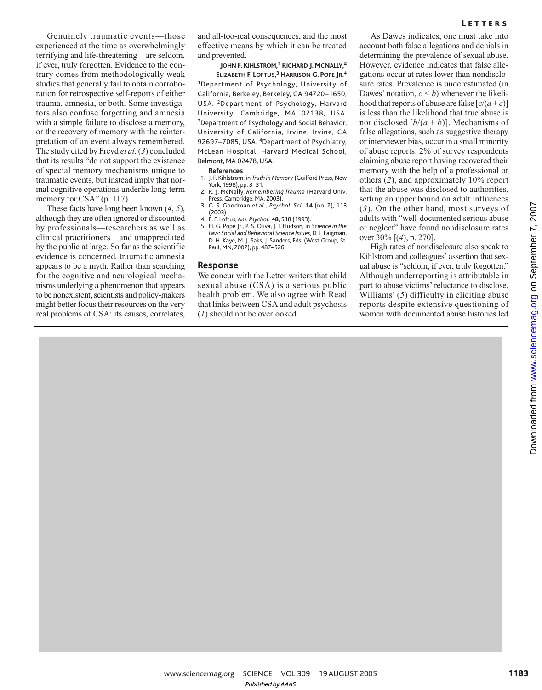Genuinely traumatic events—those experienced at the time as overwhelmingly terrifying and life-threatening—are seldom, if ever, truly forgotten. Evidence to the contrary comes from methodologically weak studies that generally fail to obtain corroboration for retrospective self-reports of either trauma, amnesia, or both. Some investigators also confuse forgetting and amnesia with a simple failure to disclose a memory, or the recovery of memory with the reinterpretation of an event always remembered. The study cited by Freyd *et al.* (*3*) concluded that its results "do not support the existence of special memory mechanisms unique to traumatic events, but instead imply that normal cognitive operations underlie long-term memory for CSA" (p. 117).

These facts have long been known (*4*, *5*), although they are often ignored or discounted by professionals—researchers as well as clinical practitioners—and unappreciated by the public at large. So far as the scientific evidence is concerned, traumatic amnesia appears to be a myth. Rather than searching for the cognitive and neurological mechanisms underlying a phenomenon that appears to be nonexistent, scientists and policy-makers might better focus their resources on the very real problems of CSA: its causes, correlates,

and all-too-real consequences, and the most effective means by which it can be treated and prevented.

**JOHN F. KIHLSTROM, <sup>1</sup> RICHARD J. MCNALLY, 2 ELIZABETH F. LOFTUS, <sup>3</sup> HARRISON G. POPE JR. 4** <sup>1</sup>Department of Psychology, University of California, Berkeley, Berkeley, CA 94720–1650, USA. <sup>2</sup>Department of Psychology, Harvard University, Cambridge, MA 02138, USA. <sup>3</sup>Department of Psychology and Social Behavior, University of California, Irvine, Irvine, CA 92697–7085, USA. <sup>4</sup>Department of Psychiatry, McLean Hospital, Harvard Medical School, Belmont, MA 02478, USA.

#### **References**

- 1. J. F. Kihlstrom, in *Truth in Memory* (Guilford Press, New York, 1998), pp. 3–31.
- 2. R. J. McNally, *Remembering Trauma* (Harvard Univ. Press, Cambridge, MA, 2003)
- 3. G. S. Goodman *et al.*, *Psychol. Sci.* **14** (no. 2), 113 (2003).
- 4. E. F. Loftus, *Am. Psychol.* **48**, 518 (1993).
- 5. H. G. Pope Jr., P. S. Oliva, J. I. Hudson, in *Science in the Law: Social and Behavioral Science Issues*, D. L. Faigman, D. H. Kaye, M. J. Saks, J. Sanders, Eds. (West Group, St. Paul, MN, 2002), pp. 487–526.

#### **Response**

We concur with the Letter writers that child sexual abuse (CSA) is a serious public health problem. We also agree with Read that links between CSA and adult psychosis (*1*) should not be overlooked.

As Dawes indicates, one must take into account both false allegations and denials in determining the prevalence of sexual abuse. However, evidence indicates that false allegations occur at rates lower than nondisclosure rates. Prevalence is underestimated (in Dawes' notation,  $c < b$ ) whenever the likelihood that reports of abuse are false  $[c/(a+c)]$ is less than the likelihood that true abuse is not disclosed  $[b/(a + b)]$ . Mechanisms of false allegations, such as suggestive therapy or interviewer bias, occur in a small minority of abuse reports: 2% of survey respondents claiming abuse report having recovered their memory with the help of a professional or others (*2*), and approximately 10% report that the abuse was disclosed to authorities, setting an upper bound on adult influences (*3*). On the other hand, most surveys of adults with "well-documented serious abuse or neglect" have found nondisclosure rates over 30% [(*4*), p. 270].

High rates of nondisclosure also speak to Kihlstrom and colleagues' assertion that sexual abuse is "seldom, if ever, truly forgotten." Although underreporting is attributable in part to abuse victims' reluctance to disclose, Williams' (*5*) difficulty in eliciting abuse reports despite extensive questioning of women with documented abuse histories led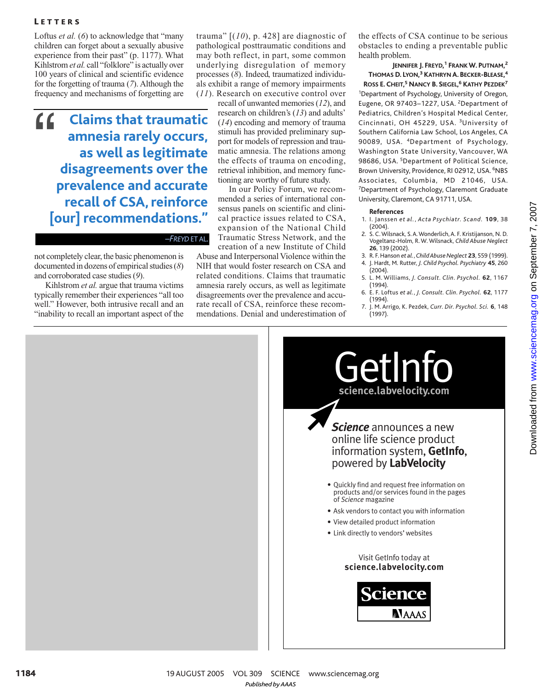#### **LETTERS**

Loftus *et al.* (*6*) to acknowledge that "many children can forget about a sexually abusive experience from their past" (p. 1177). What Kihlstrom et al. call "folklore" is actually over 100 years of clinical and scientific evidence for the forgetting of trauma (*7*). Although the frequency and mechanisms of forgetting are

### **Claims that traumatic amnesia rarely occurs, as well as legitimate disagreements over the prevalence and accurate recall of CSA,reinforce [our] recommendations."** "

*–FREYD*ETAL.

not completely clear, the basic phenomenon is documented in dozens of empirical studies (*8*) and corroborated case studies (*9*).

Kihlstrom *et al.* argue that trauma victims typically remember their experiences "all too well." However, both intrusive recall and an "inability to recall an important aspect of the trauma" [(*10*), p. 428] are diagnostic of pathological posttraumatic conditions and may both reflect, in part, some common underlying disregulation of memory processes (*8*). Indeed, traumatized individuals exhibit a range of memory impairments (*11*). Research on executive control over

recall of unwanted memories (*12*), and research on children's (*13*) and adults' (*14*) encoding and memory of trauma stimuli has provided preliminary support for models of repression and traumatic amnesia. The relations among the effects of trauma on encoding, retrieval inhibition, and memory functioning are worthy of future study.

In our Policy Forum, we recommended a series of international consensus panels on scientific and clinical practice issues related to CSA, expansion of the National Child Traumatic Stress Network, and the creation of a new Institute of Child

Abuse and Interpersonal Violence within the NIH that would foster research on CSA and related conditions. Claims that traumatic amnesia rarely occurs, as well as legitimate disagreements over the prevalence and accurate recall of CSA, reinforce these recommendations. Denial and underestimation of the effects of CSA continue to be serious obstacles to ending a preventable public health problem.

**JENNIFER J. FREYD, <sup>1</sup> FRANKW. PUTNAM, 2 THOMAS D. LYON, <sup>3</sup> KATHRYN A. BECKER-BLEASE, 4 ROSS E. CHEIT, <sup>5</sup> NANCY B. SIEGEL, <sup>6</sup> KATHY PEZDEK<sup>7</sup>** <sup>1</sup>Department of Psychology, University of Oregon, Eugene, OR 97403-1227, USA. <sup>2</sup>Department of Pediatrics, Children's Hospital Medical Center, Cincinnati, OH 45229, USA. <sup>3</sup>University of Southern California Law School, Los Angeles, CA 90089, USA. <sup>4</sup>Department of Psychology, Washington State University, Vancouver, WA 98686, USA. <sup>5</sup>Department of Political Science, Brown University, Providence, RI 02912, USA. <sup>6</sup>NBS Associates, Columbia, MD 21046, USA. <sup>7</sup>Department of Psychology, Claremont Graduate University, Claremont, CA 91711, USA.

#### **References**

- 1. I. Janssen *et al.*, *Acta Psychiatr. Scand.* **109**, 38 (2004).
- 2. S. C. Wilsnack, S. A. Wonderlich, A. F. Kristijanson, N. D. Vogeltanz-Holm, R. W. Wilsnack, *Child Abuse Neglect* **26**, 139 (2002).
- 3. R. F. Hanson *et al.*, *Child Abuse Neglect* **23**, 559 (1999). 4. J. Hardt, M. Rutter, *J. Child Psychol. Psychiatry* **45**, 260 (2004).
- 5. L. M. Williams, *J. Consult. Clin. Psychol.* **62**, 1167 (1994).
- 6. E. F. Loftus *et al.*, *J. Consult. Clin. Psychol.* **62**, 1177 (1994).
- 7. J. M. Arrigo, K. Pezdek, *Curr. Dir. Psychol. Sci.* **6**, 148 (1997).

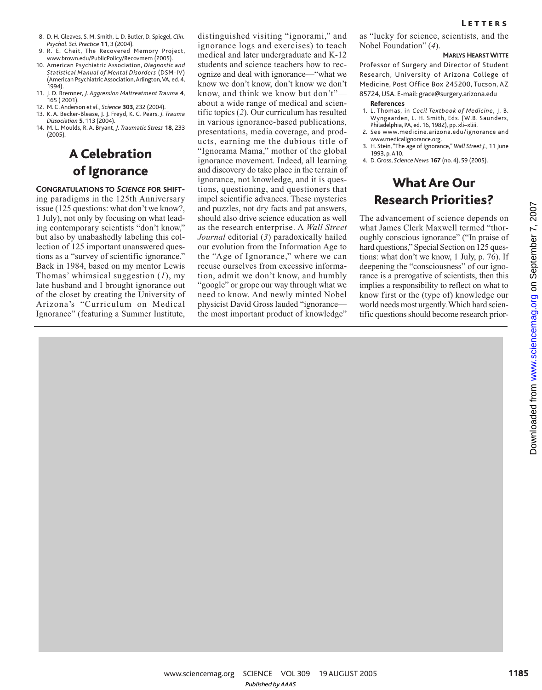- 8. D. H. Gleaves, S. M. Smith, L. D. Butler, D. Spiegel, *Clin. Psychol. Sci. Practice* **11**, 3 (2004).
- 9. R. E. Cheit, The Recovered Memory Project, www.brown.edu/PublicPolicy/Recovmem (2005).
- 10. American Psychiatric Association, *Diagnostic and Statistical Manual of Mental Disorders* (DSM-IV) (American Psychiatric Association, Arlington, VA, ed. 4, 1994).
- 11. J. D. Bremner, *J. Aggression Maltreatment Trauma* **4**, 165 ( 2001).
- 12. M. C.Anderson *et al.*, *Science* **303**, 232 (2004).
- 13. K. A. Becker-Blease, J. J. Freyd, K. C. Pears, *J. Trauma Dissociation* **5**, 113 (2004).
- 14. M. L. Moulds, R. A. Bryant, *J. Traumatic Stress* **18**, 233 (2005).

## A Celebration of Ignorance

**CONGRATULATIONS TO** *SCIENCE* **FOR SHIFT**ing paradigms in the 125th Anniversary issue (125 questions: what don't we know?, 1 July), not only by focusing on what leading contemporary scientists "don't know," but also by unabashedly labeling this collection of 125 important unanswered questions as a "survey of scientific ignorance." Back in 1984, based on my mentor Lewis Thomas' whimsical suggestion (*1*), my late husband and I brought ignorance out of the closet by creating the University of Arizona's "Curriculum on Medical Ignorance" (featuring a Summer Institute,

distinguished visiting "ignorami," and ignorance logs and exercises) to teach medical and later undergraduate and K-12 students and science teachers how to recognize and deal with ignorance—"what we know we don't know, don't know we don't know, and think we know but don't" about a wide range of medical and scientific topics (*2*). Our curriculum has resulted in various ignorance-based publications, presentations, media coverage, and products, earning me the dubious title of "Ignorama Mama," mother of the global ignorance movement. Indeed, all learning and discovery do take place in the terrain of ignorance, not knowledge, and it is questions, questioning, and questioners that impel scientific advances. These mysteries and puzzles, not dry facts and pat answers, should also drive science education as well as the research enterprise. A *Wall Street Journal* editorial (*3*) paradoxically hailed our evolution from the Information Age to the "Age of Ignorance," where we can recuse ourselves from excessive information, admit we don't know, and humbly "google" or grope our way through what we need to know. And newly minted Nobel physicist David Gross lauded "ignorance the most important product of knowledge"

as "lucky for science, scientists, and the Nobel Foundation" (*4*).

#### **MARLYS HEARSTWITTE**

Professor of Surgery and Director of Student Research, University of Arizona College of Medicine, Post Office Box 245200, Tucson, AZ 85724, USA. E-mail: grace@surgery.arizona.edu

#### **References**

- 1. L. Thomas, in *Cecil Textbook of Medicine*, J. B. Wyngaarden, L. H. Smith, Eds. (W.B. Saunders, Philadelphia, PA, ed. 16, 1982), pp. xli–xliii.
- 2. See www.medicine.arizona.edu/ignorance and www.medicalignorance.org.
- 3. H. Stein, "The age of ignorance," *Wall Street J.*, 11 June 1993, p.A10.
- 4. D. Gross, *Science New*s **167** (no. 4), 59 (2005).

## What Are Our Research Priorities?

The advancement of science depends on what James Clerk Maxwell termed "thoroughly conscious ignorance" ("In praise of hard questions," Special Section on 125 questions: what don't we know, 1 July, p. 76). If deepening the "consciousness" of our ignorance is a prerogative of scientists, then this implies a responsibility to reflect on what to know first or the (type of) knowledge our world needs most urgently. Which hard scientific questions should become research prior